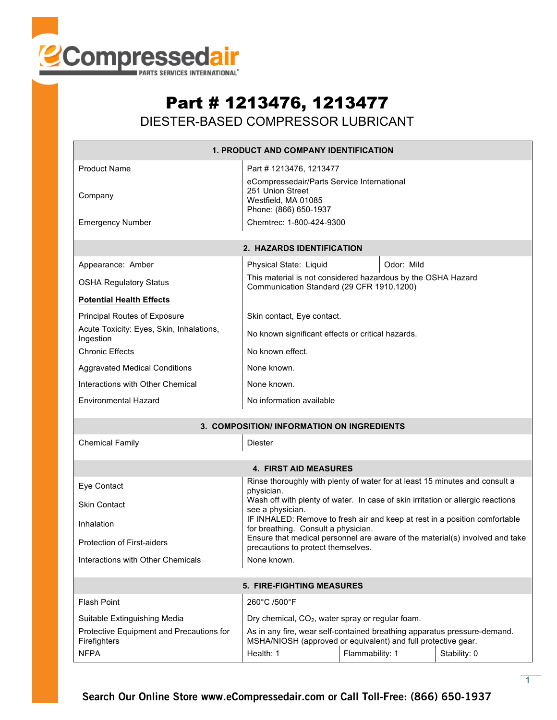

## Part # 1213476, 1213477 DIESTER-BASED COMPRESSOR LUBRICANT

| 1. PRODUCT AND COMPANY IDENTIFICATION                    |                                                                                                                                           |                 |              |  |  |  |  |
|----------------------------------------------------------|-------------------------------------------------------------------------------------------------------------------------------------------|-----------------|--------------|--|--|--|--|
| <b>Product Name</b><br>Company                           | Part #1213476, 1213477<br>eCompressedair/Parts Service International<br>251 Union Street<br>Westfield, MA 01085<br>Phone: (866) 650-1937  |                 |              |  |  |  |  |
| <b>Emergency Number</b>                                  | Chemtrec: 1-800-424-9300                                                                                                                  |                 |              |  |  |  |  |
| 2. HAZARDS IDENTIFICATION                                |                                                                                                                                           |                 |              |  |  |  |  |
| Appearance: Amber                                        | Physical State: Liquid                                                                                                                    | Odor: Mild      |              |  |  |  |  |
| <b>OSHA Regulatory Status</b>                            | This material is not considered hazardous by the OSHA Hazard<br>Communication Standard (29 CFR 1910.1200)                                 |                 |              |  |  |  |  |
| <b>Potential Health Effects</b>                          |                                                                                                                                           |                 |              |  |  |  |  |
| Principal Routes of Exposure                             | Skin contact, Eye contact.                                                                                                                |                 |              |  |  |  |  |
| Acute Toxicity: Eyes, Skin, Inhalations,<br>Ingestion    | No known significant effects or critical hazards.                                                                                         |                 |              |  |  |  |  |
| <b>Chronic Effects</b>                                   | No known effect.                                                                                                                          |                 |              |  |  |  |  |
| <b>Aggravated Medical Conditions</b>                     | None known.                                                                                                                               |                 |              |  |  |  |  |
| Interactions with Other Chemical                         | None known.                                                                                                                               |                 |              |  |  |  |  |
| <b>Environmental Hazard</b>                              | No information available                                                                                                                  |                 |              |  |  |  |  |
|                                                          | 3. COMPOSITION/ INFORMATION ON INGREDIENTS                                                                                                |                 |              |  |  |  |  |
| <b>Chemical Family</b>                                   | Diester                                                                                                                                   |                 |              |  |  |  |  |
|                                                          | <b>4. FIRST AID MEASURES</b>                                                                                                              |                 |              |  |  |  |  |
| Eye Contact                                              | Rinse thoroughly with plenty of water for at least 15 minutes and consult a<br>physician.                                                 |                 |              |  |  |  |  |
| <b>Skin Contact</b>                                      | Wash off with plenty of water. In case of skin irritation or allergic reactions<br>see a physician.                                       |                 |              |  |  |  |  |
| Inhalation                                               | IF INHALED: Remove to fresh air and keep at rest in a position comfortable<br>for breathing. Consult a physician.                         |                 |              |  |  |  |  |
| <b>Protection of First-aiders</b>                        | Ensure that medical personnel are aware of the material(s) involved and take<br>precautions to protect themselves.                        |                 |              |  |  |  |  |
| Interactions with Other Chemicals                        | None known.                                                                                                                               |                 |              |  |  |  |  |
| <b>5. FIRE-FIGHTING MEASURES</b>                         |                                                                                                                                           |                 |              |  |  |  |  |
| <b>Flash Point</b>                                       | 260°C /500°F                                                                                                                              |                 |              |  |  |  |  |
| Suitable Extinguishing Media                             | Dry chemical, $CO2$ , water spray or regular foam.                                                                                        |                 |              |  |  |  |  |
| Protective Equipment and Precautions for<br>Firefighters | As in any fire, wear self-contained breathing apparatus pressure-demand.<br>MSHA/NIOSH (approved or equivalent) and full protective gear. |                 |              |  |  |  |  |
| <b>NFPA</b>                                              | Health: 1                                                                                                                                 | Flammability: 1 | Stability: 0 |  |  |  |  |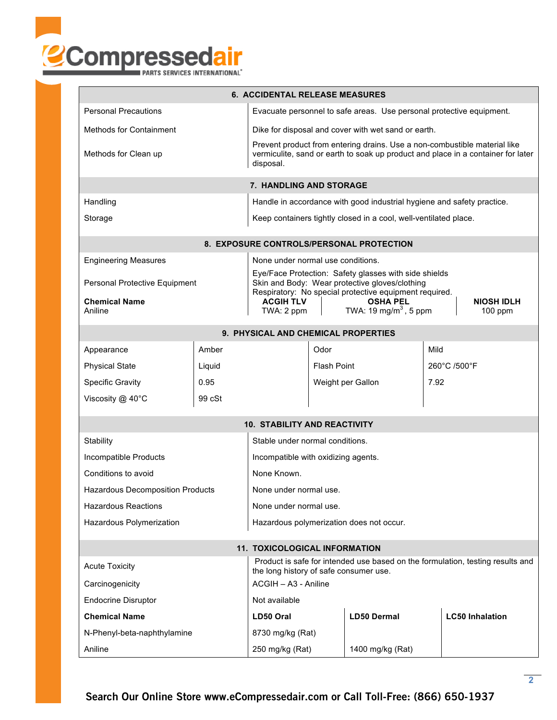

| <b>6. ACCIDENTAL RELEASE MEASURES</b>                                                                   |                                                                                                                                                                            |                                                                                                         |                    |                                                        |                        |                                |  |  |  |
|---------------------------------------------------------------------------------------------------------|----------------------------------------------------------------------------------------------------------------------------------------------------------------------------|---------------------------------------------------------------------------------------------------------|--------------------|--------------------------------------------------------|------------------------|--------------------------------|--|--|--|
| <b>Personal Precautions</b>                                                                             | Evacuate personnel to safe areas. Use personal protective equipment.                                                                                                       |                                                                                                         |                    |                                                        |                        |                                |  |  |  |
| <b>Methods for Containment</b>                                                                          | Dike for disposal and cover with wet sand or earth.                                                                                                                        |                                                                                                         |                    |                                                        |                        |                                |  |  |  |
| Methods for Clean up                                                                                    | Prevent product from entering drains. Use a non-combustible material like<br>vermiculite, sand or earth to soak up product and place in a container for later<br>disposal. |                                                                                                         |                    |                                                        |                        |                                |  |  |  |
| 7. HANDLING AND STORAGE                                                                                 |                                                                                                                                                                            |                                                                                                         |                    |                                                        |                        |                                |  |  |  |
| Handling                                                                                                |                                                                                                                                                                            | Handle in accordance with good industrial hygiene and safety practice.                                  |                    |                                                        |                        |                                |  |  |  |
| Storage                                                                                                 | Keep containers tightly closed in a cool, well-ventilated place.                                                                                                           |                                                                                                         |                    |                                                        |                        |                                |  |  |  |
|                                                                                                         | 8. EXPOSURE CONTROLS/PERSONAL PROTECTION                                                                                                                                   |                                                                                                         |                    |                                                        |                        |                                |  |  |  |
| <b>Engineering Measures</b><br>None under normal use conditions.                                        |                                                                                                                                                                            |                                                                                                         |                    |                                                        |                        |                                |  |  |  |
|                                                                                                         |                                                                                                                                                                            | Eye/Face Protection: Safety glasses with side shields<br>Skin and Body: Wear protective gloves/clothing |                    |                                                        |                        |                                |  |  |  |
| Personal Protective Equipment                                                                           |                                                                                                                                                                            |                                                                                                         |                    | Respiratory: No special protective equipment required. |                        |                                |  |  |  |
| <b>Chemical Name</b><br>Aniline                                                                         |                                                                                                                                                                            | <b>OSHA PEL</b><br><b>ACGIH TLV</b><br>TWA: 19 mg/m <sup>3</sup> , 5 ppm<br>TWA: 2 ppm                  |                    |                                                        |                        | <b>NIOSH IDLH</b><br>$100$ ppm |  |  |  |
| 9. PHYSICAL AND CHEMICAL PROPERTIES                                                                     |                                                                                                                                                                            |                                                                                                         |                    |                                                        |                        |                                |  |  |  |
| Appearance                                                                                              | Amber                                                                                                                                                                      |                                                                                                         | Odor               |                                                        | Mild                   |                                |  |  |  |
| <b>Physical State</b>                                                                                   | Liquid                                                                                                                                                                     |                                                                                                         | Flash Point        |                                                        | 260°C /500°F           |                                |  |  |  |
| <b>Specific Gravity</b>                                                                                 | 0.95                                                                                                                                                                       |                                                                                                         | Weight per Gallon  |                                                        | 7.92                   |                                |  |  |  |
| Viscosity @ 40°C                                                                                        | 99 cSt                                                                                                                                                                     |                                                                                                         |                    |                                                        |                        |                                |  |  |  |
|                                                                                                         |                                                                                                                                                                            | <b>10. STABILITY AND REACTIVITY</b>                                                                     |                    |                                                        |                        |                                |  |  |  |
| Stability                                                                                               |                                                                                                                                                                            | Stable under normal conditions.                                                                         |                    |                                                        |                        |                                |  |  |  |
| Incompatible Products                                                                                   | Incompatible with oxidizing agents.                                                                                                                                        |                                                                                                         |                    |                                                        |                        |                                |  |  |  |
| Conditions to avoid                                                                                     | None Known.                                                                                                                                                                |                                                                                                         |                    |                                                        |                        |                                |  |  |  |
| <b>Hazardous Decomposition Products</b>                                                                 | None under normal use                                                                                                                                                      |                                                                                                         |                    |                                                        |                        |                                |  |  |  |
| <b>Hazardous Reactions</b>                                                                              | None under normal use.                                                                                                                                                     |                                                                                                         |                    |                                                        |                        |                                |  |  |  |
| Hazardous polymerization does not occur.<br>Hazardous Polymerization                                    |                                                                                                                                                                            |                                                                                                         |                    |                                                        |                        |                                |  |  |  |
| <b>11. TOXICOLOGICAL INFORMATION</b>                                                                    |                                                                                                                                                                            |                                                                                                         |                    |                                                        |                        |                                |  |  |  |
| Product is safe for intended use based on the formulation, testing results and<br><b>Acute Toxicity</b> |                                                                                                                                                                            |                                                                                                         |                    |                                                        |                        |                                |  |  |  |
| the long history of safe consumer use.<br>ACGIH - A3 - Aniline<br>Carcinogenicity                       |                                                                                                                                                                            |                                                                                                         |                    |                                                        |                        |                                |  |  |  |
| <b>Endocrine Disruptor</b>                                                                              | Not available                                                                                                                                                              |                                                                                                         |                    |                                                        |                        |                                |  |  |  |
| <b>Chemical Name</b>                                                                                    | LD50 Oral                                                                                                                                                                  |                                                                                                         | <b>LD50 Dermal</b> |                                                        | <b>LC50 Inhalation</b> |                                |  |  |  |
| N-Phenyl-beta-naphthylamine                                                                             | 8730 mg/kg (Rat)                                                                                                                                                           |                                                                                                         |                    |                                                        |                        |                                |  |  |  |
| Aniline                                                                                                 | 250 mg/kg (Rat)                                                                                                                                                            |                                                                                                         | 1400 mg/kg (Rat)   |                                                        |                        |                                |  |  |  |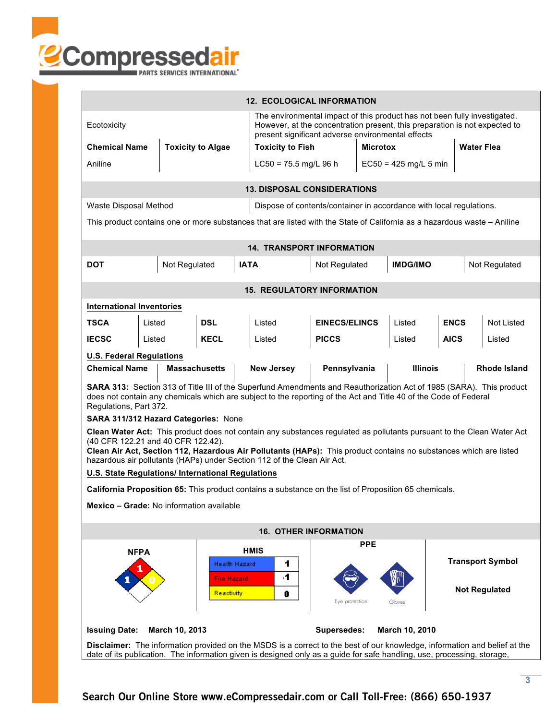

|                                                                                                                                                                                                                                                                                                                                                             |             |                                      | <b>12. ECOLOGICAL INFORMATION</b>                                                                                        |                                                                     |            |                      |             |                         |  |
|-------------------------------------------------------------------------------------------------------------------------------------------------------------------------------------------------------------------------------------------------------------------------------------------------------------------------------------------------------------|-------------|--------------------------------------|--------------------------------------------------------------------------------------------------------------------------|---------------------------------------------------------------------|------------|----------------------|-------------|-------------------------|--|
| The environmental impact of this product has not been fully investigated.<br>However, at the concentration present, this preparation is not expected to<br>Ecotoxicity<br>present significant adverse environmental effects                                                                                                                                 |             |                                      |                                                                                                                          |                                                                     |            |                      |             |                         |  |
| <b>Chemical Name</b>                                                                                                                                                                                                                                                                                                                                        |             | <b>Toxicity to Algae</b>             |                                                                                                                          | <b>Toxicity to Fish</b>                                             |            | <b>Microtox</b>      |             | <b>Water Flea</b>       |  |
| Aniline                                                                                                                                                                                                                                                                                                                                                     |             |                                      |                                                                                                                          | $LC50 = 75.5$ mg/L 96 h<br>$EC50 = 425$ mg/L 5 min                  |            |                      |             |                         |  |
| <b>13. DISPOSAL CONSIDERATIONS</b>                                                                                                                                                                                                                                                                                                                          |             |                                      |                                                                                                                          |                                                                     |            |                      |             |                         |  |
| Waste Disposal Method                                                                                                                                                                                                                                                                                                                                       |             |                                      |                                                                                                                          | Dispose of contents/container in accordance with local regulations. |            |                      |             |                         |  |
|                                                                                                                                                                                                                                                                                                                                                             |             |                                      | This product contains one or more substances that are listed with the State of California as a hazardous waste - Aniline |                                                                     |            |                      |             |                         |  |
|                                                                                                                                                                                                                                                                                                                                                             |             |                                      | <b>14. TRANSPORT INFORMATION</b>                                                                                         |                                                                     |            |                      |             |                         |  |
| DOT                                                                                                                                                                                                                                                                                                                                                         |             | Not Regulated                        | <b>IATA</b>                                                                                                              | Not Regulated                                                       |            | <b>IMDG/IMO</b>      |             | Not Regulated           |  |
|                                                                                                                                                                                                                                                                                                                                                             |             |                                      | <b>15. REGULATORY INFORMATION</b>                                                                                        |                                                                     |            |                      |             |                         |  |
| <b>International Inventories</b>                                                                                                                                                                                                                                                                                                                            |             |                                      |                                                                                                                          |                                                                     |            |                      |             |                         |  |
| <b>TSCA</b>                                                                                                                                                                                                                                                                                                                                                 | Listed      | <b>DSL</b>                           | Listed                                                                                                                   | <b>EINECS/ELINCS</b>                                                |            | Listed               | <b>ENCS</b> | <b>Not Listed</b>       |  |
| <b>IECSC</b>                                                                                                                                                                                                                                                                                                                                                | Listed      | <b>KECL</b>                          | Listed                                                                                                                   | <b>PICCS</b>                                                        |            | Listed               | <b>AICS</b> | Listed                  |  |
| <b>U.S. Federal Regulations</b>                                                                                                                                                                                                                                                                                                                             |             |                                      |                                                                                                                          |                                                                     |            |                      |             |                         |  |
| <b>Chemical Name</b>                                                                                                                                                                                                                                                                                                                                        |             | <b>Massachusetts</b>                 | <b>New Jersey</b>                                                                                                        | Pennsylvania                                                        |            | <b>Illinois</b>      |             | <b>Rhode Island</b>     |  |
| SARA 313: Section 313 of Title III of the Superfund Amendments and Reauthorization Act of 1985 (SARA). This product<br>does not contain any chemicals which are subject to the reporting of the Act and Title 40 of the Code of Federal<br>Regulations, Part 372.                                                                                           |             |                                      |                                                                                                                          |                                                                     |            |                      |             |                         |  |
|                                                                                                                                                                                                                                                                                                                                                             |             | SARA 311/312 Hazard Categories: None |                                                                                                                          |                                                                     |            |                      |             |                         |  |
| Clean Water Act: This product does not contain any substances regulated as pollutants pursuant to the Clean Water Act<br>(40 CFR 122.21 and 40 CFR 122.42).<br>Clean Air Act, Section 112, Hazardous Air Pollutants (HAPs): This product contains no substances which are listed<br>hazardous air pollutants (HAPs) under Section 112 of the Clean Air Act. |             |                                      |                                                                                                                          |                                                                     |            |                      |             |                         |  |
| U.S. State Regulations/ International Regulations                                                                                                                                                                                                                                                                                                           |             |                                      |                                                                                                                          |                                                                     |            |                      |             |                         |  |
| <b>California Proposition 65:</b> This product contains a substance on the list of Proposition 65 chemicals.                                                                                                                                                                                                                                                |             |                                      |                                                                                                                          |                                                                     |            |                      |             |                         |  |
| Mexico - Grade: No information available                                                                                                                                                                                                                                                                                                                    |             |                                      |                                                                                                                          |                                                                     |            |                      |             |                         |  |
| <b>16. OTHER INFORMATION</b>                                                                                                                                                                                                                                                                                                                                |             |                                      |                                                                                                                          |                                                                     |            |                      |             |                         |  |
|                                                                                                                                                                                                                                                                                                                                                             | <b>NFPA</b> |                                      | <b>HMIS</b>                                                                                                              |                                                                     | <b>PPE</b> |                      |             |                         |  |
|                                                                                                                                                                                                                                                                                                                                                             |             |                                      | Health Hazard<br>1                                                                                                       |                                                                     |            |                      |             | <b>Transport Symbol</b> |  |
| 4.<br><b>Fire Hazard</b><br>Reactivity<br>0<br>Eye protection<br>Gloves                                                                                                                                                                                                                                                                                     |             |                                      |                                                                                                                          |                                                                     |            | <b>Not Regulated</b> |             |                         |  |
| <b>Issuing Date:</b>                                                                                                                                                                                                                                                                                                                                        |             | March 10, 2013                       |                                                                                                                          | <b>Supersedes:</b>                                                  |            | March 10, 2010       |             |                         |  |
| Disclaimer: The information provided on the MSDS is a correct to the best of our knowledge, information and belief at the<br>date of its publication. The information given is designed only as a guide for safe handling, use, processing, storage,                                                                                                        |             |                                      |                                                                                                                          |                                                                     |            |                      |             |                         |  |